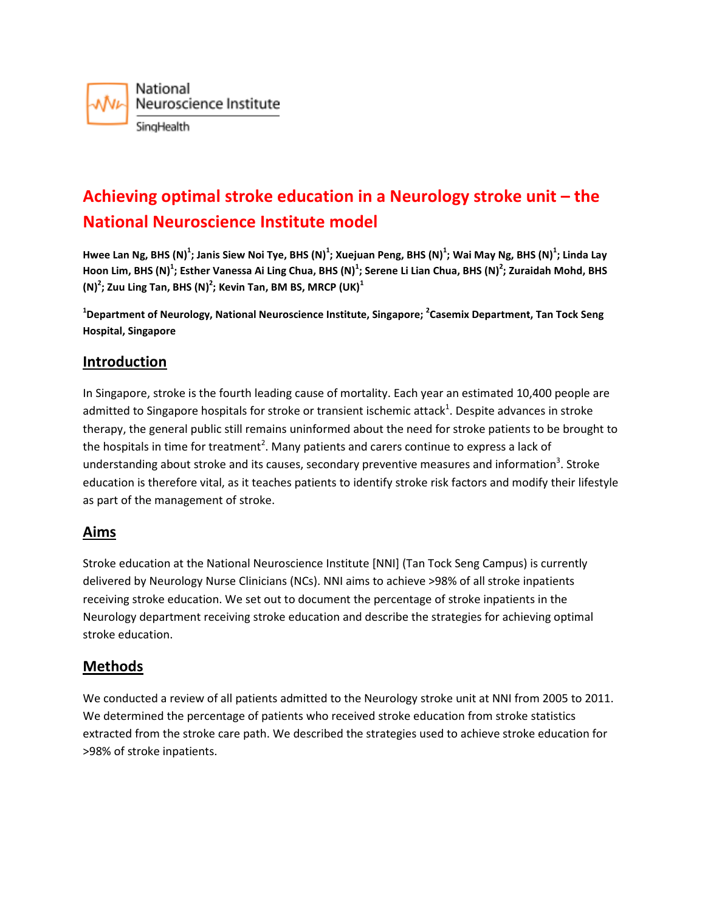

# **Achieving optimal stroke education in a Neurology stroke unit – the National Neuroscience Institute model**

**Hwee Lan Ng, BHS (N)<sup>1</sup> ; Janis Siew Noi Tye, BHS (N)<sup>1</sup> ; Xuejuan Peng, BHS (N)<sup>1</sup> ; Wai May Ng, BHS (N)<sup>1</sup> ; Linda Lay Hoon Lim, BHS (N)<sup>1</sup> ; Esther Vanessa Ai Ling Chua, BHS (N)<sup>1</sup> ; Serene Li Lian Chua, BHS (N)<sup>2</sup> ; Zuraidah Mohd, BHS (N)<sup>2</sup> ; Zuu Ling Tan, BHS (N)<sup>2</sup> ; Kevin Tan, BM BS, MRCP (UK)<sup>1</sup>**

**1 Department of Neurology, National Neuroscience Institute, Singapore; <sup>2</sup> Casemix Department, Tan Tock Seng Hospital, Singapore**

# **Introduction**

In Singapore, stroke is the fourth leading cause of mortality. Each year an estimated 10,400 people are admitted to Singapore hospitals for stroke or transient ischemic attack<sup>1</sup>. Despite advances in stroke therapy, the general public still remains uninformed about the need for stroke patients to be brought to the hospitals in time for treatment<sup>2</sup>. Many patients and carers continue to express a lack of understanding about stroke and its causes, secondary preventive measures and information<sup>3</sup>. Stroke education is therefore vital, as it teaches patients to identify stroke risk factors and modify their lifestyle as part of the management of stroke.

# **Aims**

Stroke education at the National Neuroscience Institute [NNI] (Tan Tock Seng Campus) is currently delivered by Neurology Nurse Clinicians (NCs). NNI aims to achieve >98% of all stroke inpatients receiving stroke education. We set out to document the percentage of stroke inpatients in the Neurology department receiving stroke education and describe the strategies for achieving optimal stroke education.

#### **Methods**

We conducted a review of all patients admitted to the Neurology stroke unit at NNI from 2005 to 2011. We determined the percentage of patients who received stroke education from stroke statistics extracted from the stroke care path. We described the strategies used to achieve stroke education for >98% of stroke inpatients.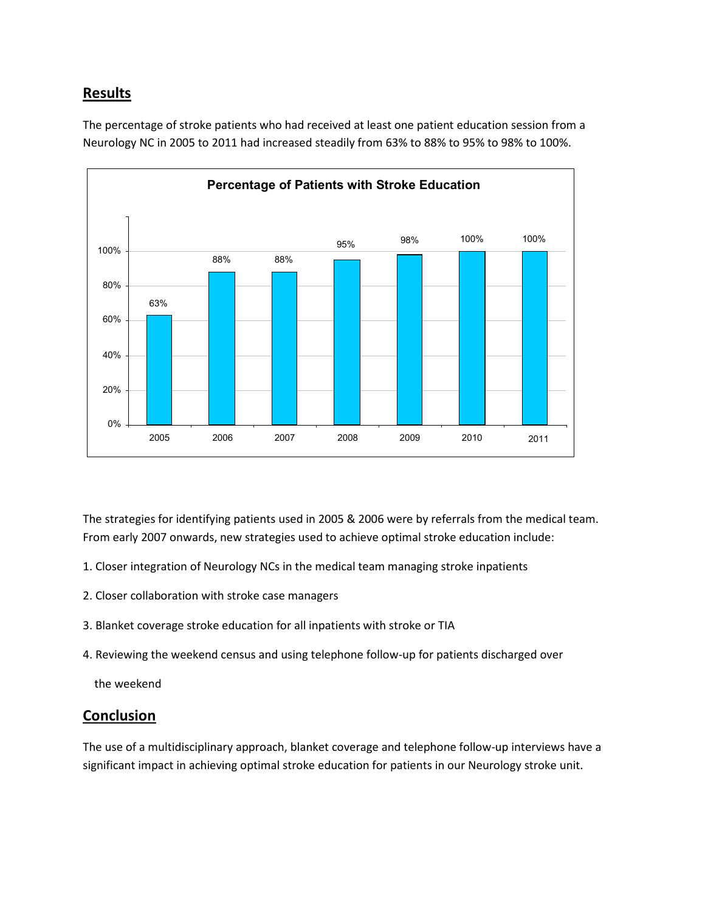# **Results**



The percentage of stroke patients who had received at least one patient education session from a Neurology NC in 2005 to 2011 had increased steadily from 63% to 88% to 95% to 98% to 100%.

The strategies for identifying patients used in 2005 & 2006 were by referrals from the medical team. From early 2007 onwards, new strategies used to achieve optimal stroke education include:

- 1. Closer integration of Neurology NCs in the medical team managing stroke inpatients
- 2. Closer collaboration with stroke case managers
- 3. Blanket coverage stroke education for all inpatients with stroke or TIA
- 4. Reviewing the weekend census and using telephone follow-up for patients discharged over

the weekend

#### **Conclusion**

The use of a multidisciplinary approach, blanket coverage and telephone follow-up interviews have a significant impact in achieving optimal stroke education for patients in our Neurology stroke unit.